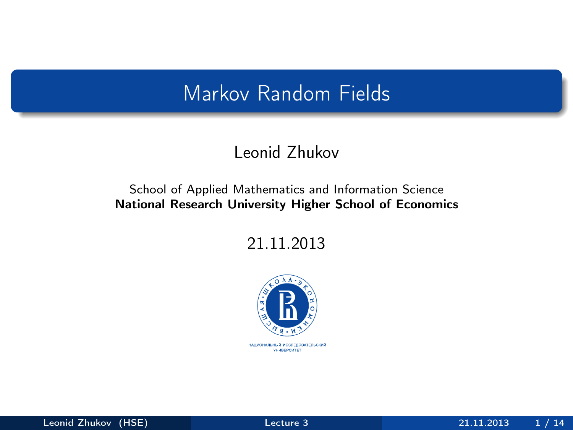# Markov Random Fields

#### Leonid Zhukov

#### School of Applied Mathematics and Information Science National Research University Higher School of Economics

21.11.2013



<span id="page-0-0"></span>НАЦИОНАЛЬНЫЙ ИССЛЕДОВАТЕЛЬСКИЙ **YHMBEPCWTET**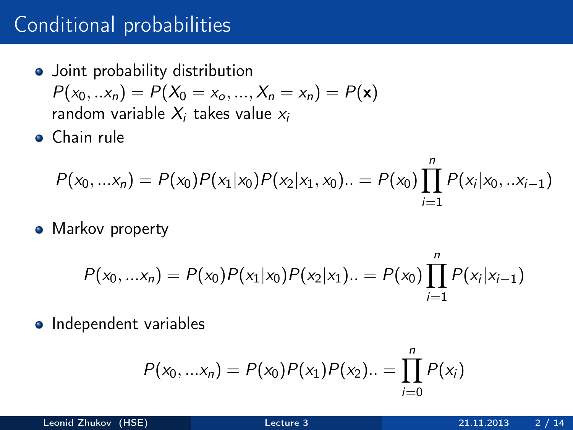# Conditional probabilities

- Joint probability distribution  $P(x_0, ... x_n) = P(X_0 = x_0, ..., X_n = x_n) = P(\mathbf{x})$ random variable  $X_i$  takes value  $x_i$
- Chain rule

$$
P(x_0,...x_n) = P(x_0)P(x_1|x_0)P(x_2|x_1,x_0) \ldots = P(x_0) \prod_{i=1}^n P(x_i|x_0,...x_{i-1})
$$

• Markov property

$$
P(x_0,...x_n) = P(x_0)P(x_1|x_0)P(x_2|x_1)...=P(x_0)\prod_{i=1}^n P(x_i|x_{i-1})
$$

• Independent variables

$$
P(x_0,...x_n) = P(x_0)P(x_1)P(x_2)... = \prod_{i=0}^n P(x_i)
$$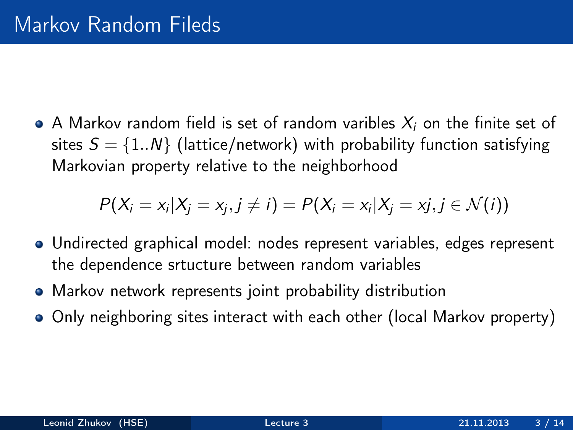• A Markov random field is set of random varibles  $X_i$  on the finite set of sites  $S = \{1..N\}$  (lattice/network) with probability function satisfying Markovian property relative to the neighborhood

$$
P(X_i=x_i|X_j=x_j, j\neq i)=P(X_i=x_i|X_j=x_j, j\in \mathcal{N}(i))
$$

- Undirected graphical model: nodes represent variables, edges represent the dependence srtucture between random variables
- Markov network represents joint probability distribution
- Only neighboring sites interact with each other (local Markov property)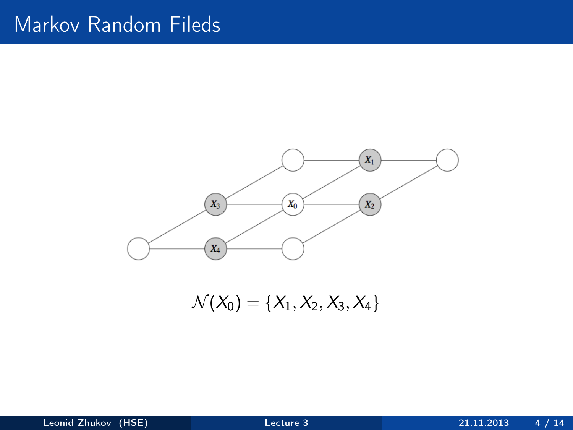## Markov Random Fileds



 $\mathcal{N}(X_0) = \{X_1, X_2, X_3, X_4\}$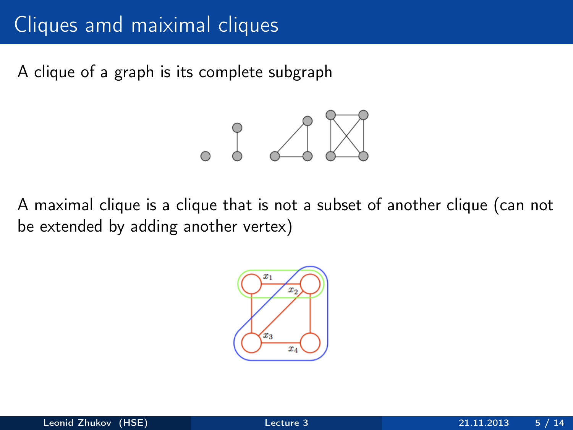# Cliques amd maiximal cliques

A clique of a graph is its complete subgraph



A maximal clique is a clique that is not a subset of another clique (can not be extended by adding another vertex)

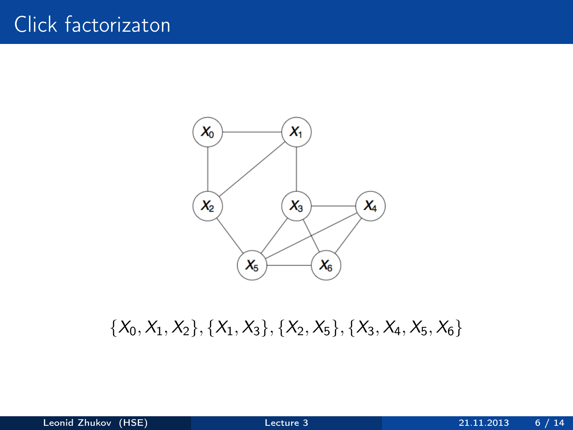

 $\{X_0, X_1, X_2\}, \{X_1, X_3\}, \{X_2, X_5\}, \{X_3, X_4, X_5, X_6\}$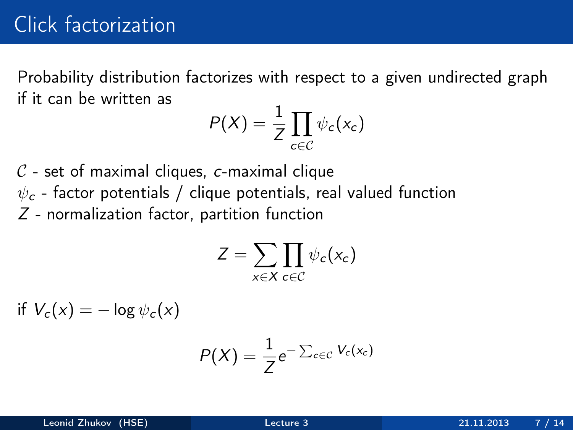Probability distribution factorizes with respect to a given undirected graph if it can be written as

$$
P(X) = \frac{1}{Z} \prod_{c \in C} \psi_c(x_c)
$$

 $C$  - set of maximal cliques, c-maximal clique  $\psi_c$  - factor potentials / clique potentials, real valued function Z - normalization factor, partition function

$$
Z=\sum_{x\in X}\prod_{c\in C}\psi_c(x_c)
$$

if  $V_c(x) = -\log \psi_c(x)$ 

$$
P(X) = \frac{1}{Z}e^{-\sum_{c\in\mathcal{C}}V_c(x_c)}
$$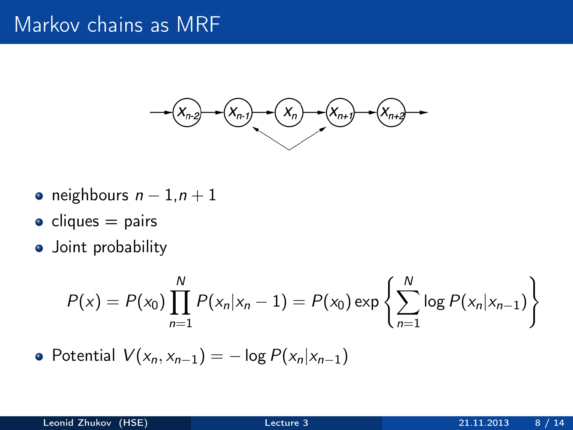### Markov chains as MRF



- neighbours  $n 1, n + 1$
- $\bullet$  cliques = pairs
- **•** Joint probability

$$
P(x) = P(x_0) \prod_{n=1}^{N} P(x_n | x_n - 1) = P(x_0) \exp \left\{ \sum_{n=1}^{N} \log P(x_n | x_{n-1}) \right\}
$$

• Potential 
$$
V(x_n, x_{n-1}) = -\log P(x_n | x_{n-1})
$$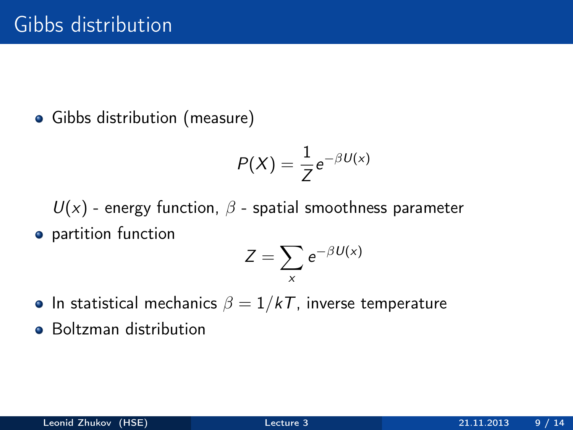Gibbs distribution (measure)

$$
P(X) = \frac{1}{Z}e^{-\beta U(x)}
$$

 $U(x)$  - energy function,  $\beta$  - spatial smoothness parameter **•** partition function

$$
Z=\sum_{x}e^{-\beta U(x)}
$$

- In statistical mechanics  $\beta = 1/kT$ , inverse temperature
- **•** Boltzman distribution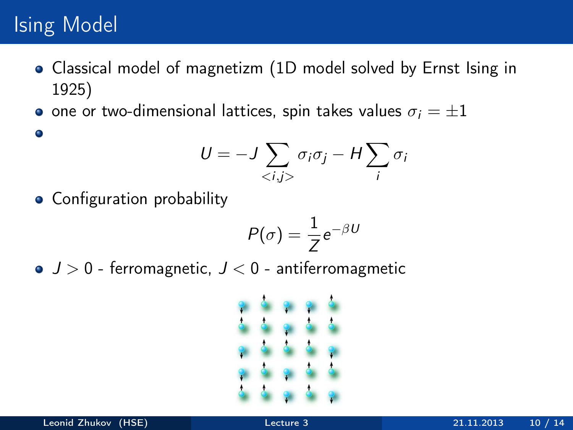# Ising Model

 $\bullet$ 

- Classical model of magnetizm (1D model solved by Ernst Ising in 1925)
- $\bullet$  one or two-dimensional lattices, spin takes values  $\sigma_i = \pm 1$

$$
U = -J \sum_{\langle i,j \rangle} \sigma_i \sigma_j - H \sum_i \sigma_i
$$

• Configuration probability

$$
P(\sigma) = \frac{1}{Z}e^{-\beta U}
$$

 $J > 0$  - ferromagnetic,  $J < 0$  - antiferromagmetic

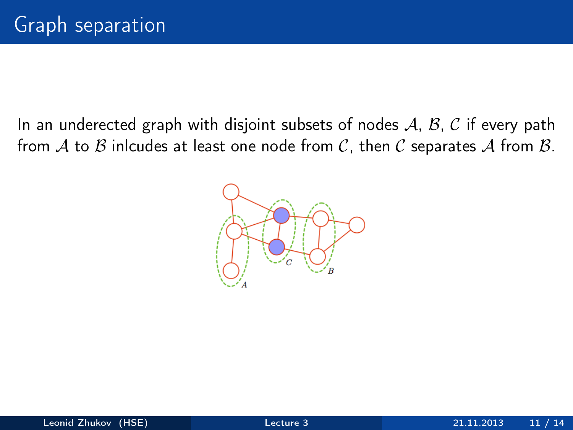In an underected graph with disjoint subsets of nodes  $A$ ,  $B$ ,  $C$  if every path from A to B inlcudes at least one node from C, then C separates A from B.

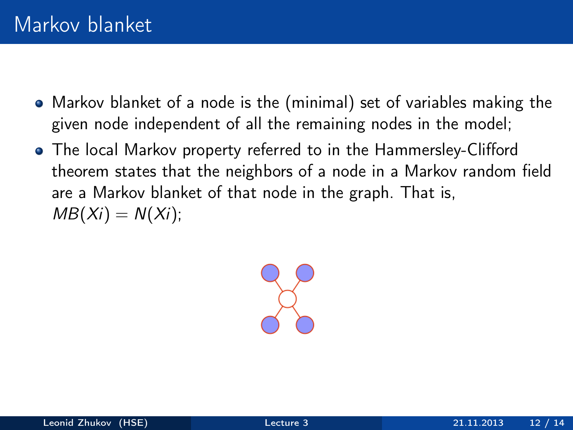- Markov blanket of a node is the (minimal) set of variables making the given node independent of all the remaining nodes in the model;
- The local Markov property referred to in the Hammersley-Clifford theorem states that the neighbors of a node in a Markov random field are a Markov blanket of that node in the graph. That is,  $MB(X_i) = N(X_i)$ ;

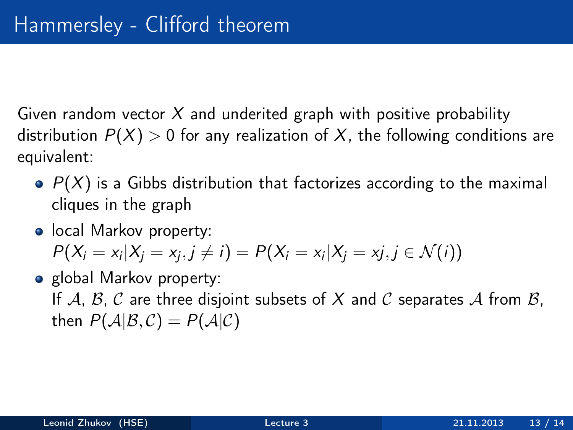Given random vector  $X$  and underited graph with positive probability distribution  $P(X) > 0$  for any realization of X, the following conditions are equivalent:

- $\bullet$   $P(X)$  is a Gibbs distribution that factorizes according to the maximal cliques in the graph
- **•** local Markov property:  $P(X_i = x_i | X_j = x_j, j \neq i) = P(X_i = x_i | X_j = x_j, j \in \mathcal{N}(i))$
- global Markov property: If  $A, B, C$  are three disjoint subsets of X and C separates A from B, then  $P(A|B,C) = P(A|C)$